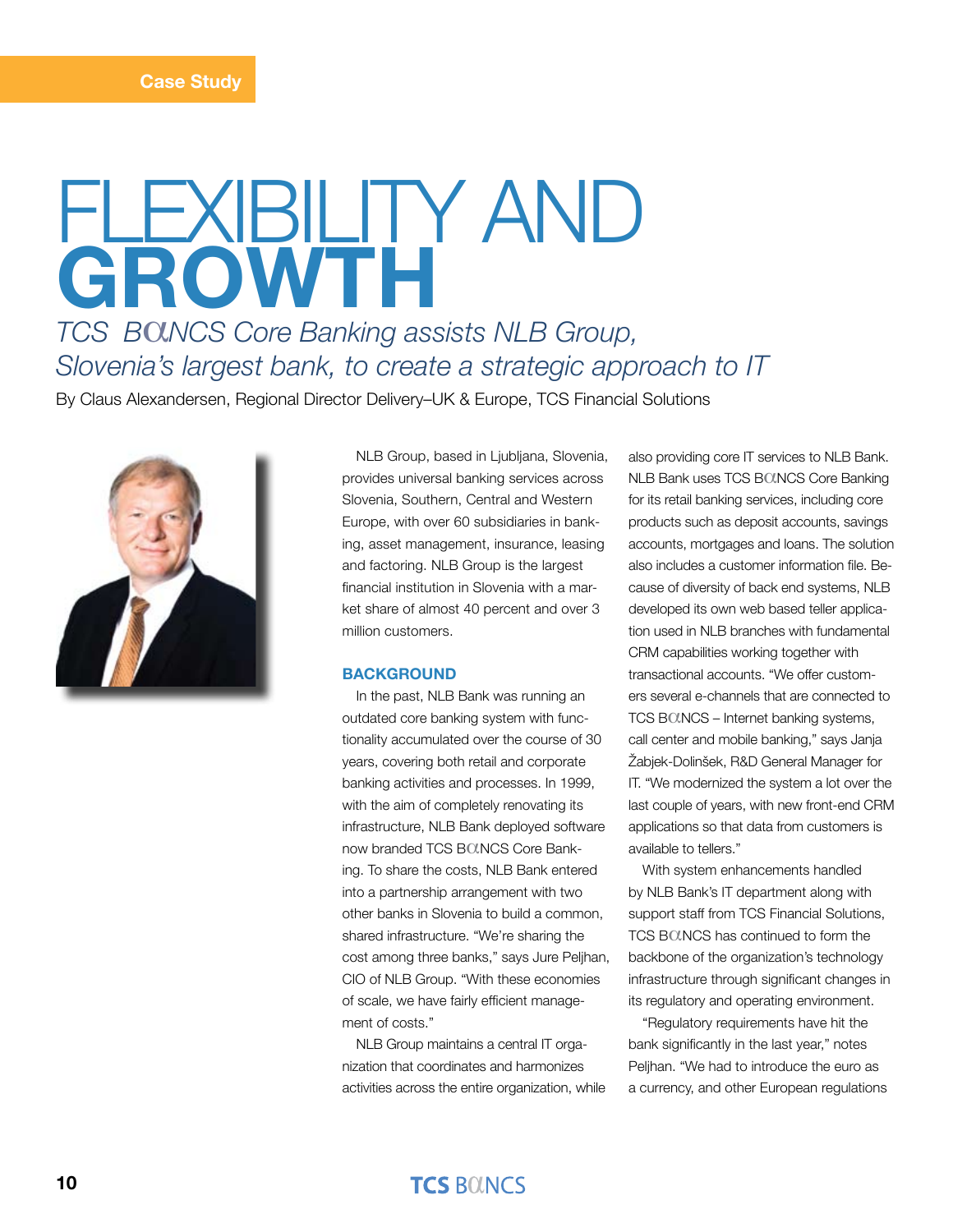# flexibility and **growth** *TCS B*a*NCS Core Banking assists NLB Group,*

*Slovenia's largest bank, to create a strategic approach to IT*

By Claus Alexandersen, Regional Director Delivery–UK & Europe, TCS Financial Solutions



NLB Group, based in Ljubljana, Slovenia, provides universal banking services across Slovenia, Southern, Central and Western Europe, with over 60 subsidiaries in banking, asset management, insurance, leasing and factoring. NLB Group is the largest financial institution in Slovenia with a market share of almost 40 percent and over 3 million customers.

#### **BACKGROUND**

In the past, NLB Bank was running an outdated core banking system with functionality accumulated over the course of 30 years, covering both retail and corporate banking activities and processes. In 1999, with the aim of completely renovating its infrastructure, NLB Bank deployed software now branded TCS BOLNCS Core Banking. To share the costs, NLB Bank entered into a partnership arrangement with two other banks in Slovenia to build a common, shared infrastructure. "We're sharing the cost among three banks," says Jure Peljhan, CIO of NLB Group. "With these economies of scale, we have fairly efficient management of costs."

NLB Group maintains a central IT organization that coordinates and harmonizes activities across the entire organization, while also providing core IT services to NLB Bank. NLB Bank uses TCS BOUNCS Core Banking for its retail banking services, including core products such as deposit accounts, savings accounts, mortgages and loans. The solution also includes a customer information file. Because of diversity of back end systems, NLB developed its own web based teller application used in NLB branches with fundamental CRM capabilities working together with transactional accounts. "We offer customers several e-channels that are connected to TCS BOUNCS – Internet banking systems, call center and mobile banking," says Janja Žabjek-Dolinšek, R&D General Manager for IT. "We modernized the system a lot over the last couple of years, with new front-end CRM applications so that data from customers is available to tellers."

With system enhancements handled by NLB Bank's IT department along with support staff from TCS Financial Solutions, TCS BOLNCS has continued to form the backbone of the organization's technology infrastructure through significant changes in its regulatory and operating environment.

"Regulatory requirements have hit the bank significantly in the last year," notes Peljhan. "We had to introduce the euro as a currency, and other European regulations

## **TCS BOINCS**